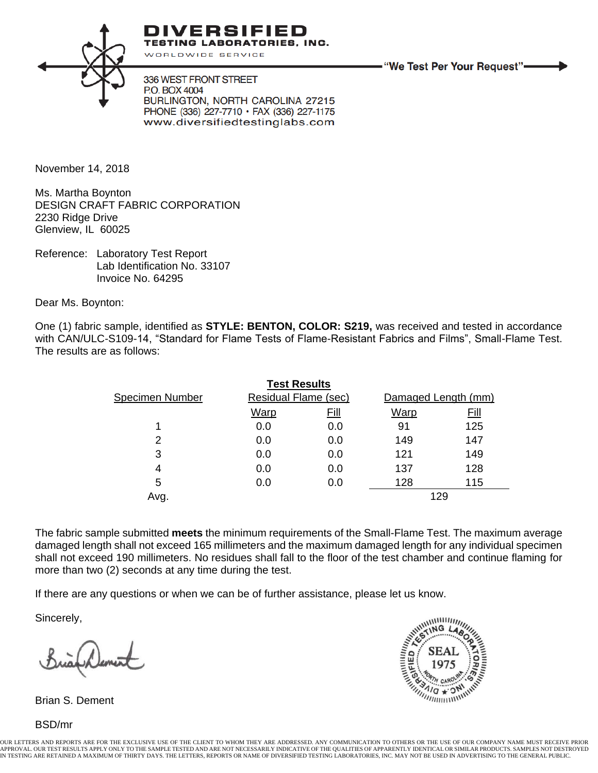

IVERSIFIED **TESTING LABORATORIES, INC.** WORLDWIDE SERVICE

336 WEST FRONT STREET P.O. BOX 4004 BURLINGTON, NORTH CAROLINA 27215 PHONE (336) 227-7710 · FAX (336) 227-1175 www.diversifiedtestinglabs.com -"We Test Per Your Request"-

November 14, 2018

Ms. Martha Boynton DESIGN CRAFT FABRIC CORPORATION 2230 Ridge Drive Glenview, IL 60025

Reference: Laboratory Test Report Lab Identification No. 33107 Invoice No. 64295

Dear Ms. Boynton:

One (1) fabric sample, identified as **STYLE: BENTON, COLOR: S219,** was received and tested in accordance with CAN/ULC-S109-14, "Standard for Flame Tests of Flame-Resistant Fabrics and Films", Small-Flame Test. The results are as follows:

| <b>Test Results</b> |                      |             |                     |             |  |
|---------------------|----------------------|-------------|---------------------|-------------|--|
| Specimen Number     | Residual Flame (sec) |             | Damaged Length (mm) |             |  |
|                     | Warp                 | <u>Fill</u> | Warp                | <u>Fill</u> |  |
|                     | 0.0                  | 0.0         | 91                  | 125         |  |
| 2                   | 0.0                  | 0.0         | 149                 | 147         |  |
| 3                   | 0.0                  | 0.0         | 121                 | 149         |  |
| 4                   | 0.0                  | 0.0         | 137                 | 128         |  |
| 5                   | 0.0                  | 0.0         | 128                 | 115         |  |
| Avg.                |                      |             | 129                 |             |  |

The fabric sample submitted **meets** the minimum requirements of the Small-Flame Test. The maximum average damaged length shall not exceed 165 millimeters and the maximum damaged length for any individual specimen shall not exceed 190 millimeters. No residues shall fall to the floor of the test chamber and continue flaming for more than two (2) seconds at any time during the test.

If there are any questions or when we can be of further assistance, please let us know.

Sincerely,

Brian S. Dement

BSD/mr



OUR LETTERS AND REPORTS ARE FOR THE EXCLUSIVE USE OF THE CLIENT TO WHOM THEY ARE ADDRESSED. ANY COMMUNICATION TO OTHERS OR THE USE OF OUR COMPANY NAME MUST RECEIVE PRIOR APPROVAL. OUR TEST RESULTS APPLY ONLY TO THE SAMPLE TESTED AND ARE NOT NECESSARILY INDICATIVE OF THE QUALITIES OF APPARENTLY IDENTICAL OR SIMILAR PRODUCTS. SAMPLES NOT DESTROYED<br>IN TESTING ARE RETAINED A MAXIMUM OF THIRTY